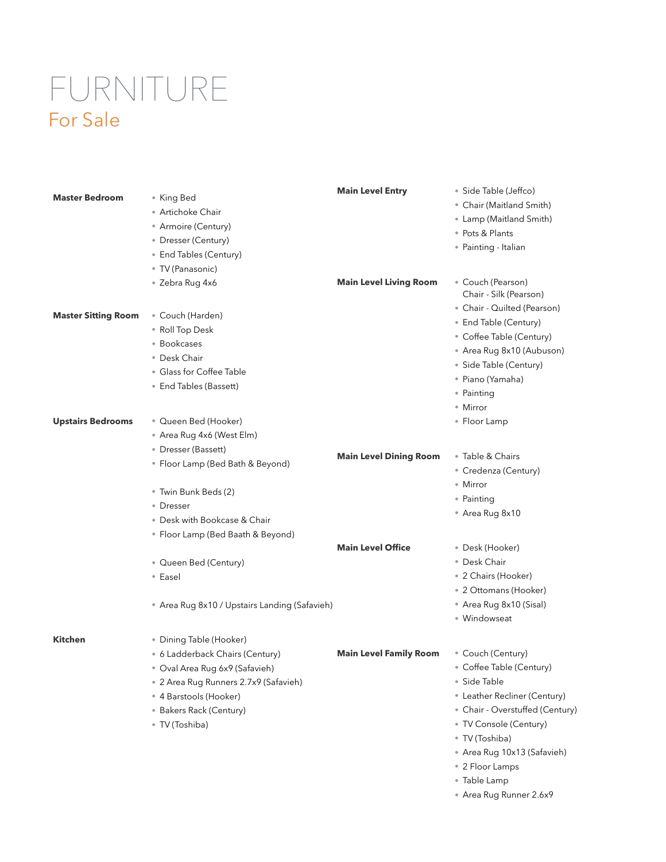## FURNITURE For Sale

|                            |                                               | <b>Main Level Entry</b>       | · Side Table (Jeffco)                       |
|----------------------------|-----------------------------------------------|-------------------------------|---------------------------------------------|
| <b>Master Bedroom</b>      | • King Bed                                    |                               | • Chair (Maitland Smith)                    |
|                            | • Artichoke Chair                             |                               | • Lamp (Maitland Smith)                     |
|                            | • Armoire (Century)                           |                               | • Pots & Plants                             |
|                            | • Dresser (Century)                           |                               | • Painting - Italian                        |
|                            | • End Tables (Century)                        |                               |                                             |
|                            | • TV (Panasonic)                              |                               |                                             |
|                            | • Zebra Rug 4x6                               | <b>Main Level Living Room</b> | • Couch (Pearson)<br>Chair - Silk (Pearson) |
| <b>Master Sitting Room</b> |                                               |                               | • Chair - Quilted (Pearson)                 |
|                            | • Couch (Harden)                              |                               | • End Table (Century)                       |
|                            | • Roll Top Desk                               |                               | • Coffee Table (Century)                    |
|                            | • Bookcases                                   |                               | • Area Rug 8x10 (Aubuson)                   |
|                            | • Desk Chair                                  |                               | • Side Table (Century)                      |
|                            | • Glass for Coffee Table                      |                               | • Piano (Yamaha)                            |
|                            | • End Tables (Bassett)                        |                               | • Painting                                  |
|                            |                                               |                               | • Mirror                                    |
| <b>Upstairs Bedrooms</b>   | • Queen Bed (Hooker)                          |                               | • Floor Lamp                                |
|                            | • Area Rug 4x6 (West Elm)                     |                               |                                             |
|                            | • Dresser (Bassett)                           |                               |                                             |
|                            | • Floor Lamp (Bed Bath & Beyond)              | <b>Main Level Dining Room</b> | • Table & Chairs                            |
|                            |                                               |                               | • Credenza (Century)                        |
|                            | • Twin Bunk Beds (2)                          |                               | • Mirror                                    |
|                            | • Dresser                                     |                               | • Painting                                  |
|                            | • Desk with Bookcase & Chair                  |                               | • Area Rug 8x10                             |
|                            |                                               |                               |                                             |
|                            | • Floor Lamp (Bed Baath & Beyond)             | <b>Main Level Office</b>      | • Desk (Hooker)                             |
|                            |                                               |                               | · Desk Chair                                |
|                            | • Queen Bed (Century)                         |                               |                                             |
|                            | • Easel                                       |                               | • 2 Chairs (Hooker)                         |
|                            |                                               |                               | • 2 Ottomans (Hooker)                       |
|                            | • Area Rug 8x10 / Upstairs Landing (Safavieh) |                               | • Area Rug 8x10 (Sisal)                     |
|                            |                                               |                               | · Windowseat                                |
| <b>Kitchen</b>             | • Dining Table (Hooker)                       |                               |                                             |
|                            | • 6 Ladderback Chairs (Century)               | <b>Main Level Family Room</b> | • Couch (Century)                           |
|                            | · Oval Area Rug 6x9 (Safavieh)                |                               | • Coffee Table (Century)                    |
|                            | • 2 Area Rug Runners 2.7x9 (Safavieh)         |                               | • Side Table                                |
|                            | • 4 Barstools (Hooker)                        |                               | • Leather Recliner (Century)                |
|                            | • Bakers Rack (Century)                       |                               | • Chair - Overstuffed (Century)             |
|                            | • TV (Toshiba)                                |                               | • TV Console (Century)                      |
|                            |                                               |                               | · TV (Toshiba)                              |
|                            |                                               |                               | • Area Rug 10x13 (Safavieh)                 |
|                            |                                               |                               | • 2 Floor Lamps                             |
|                            |                                               |                               | • Table Lamp                                |
|                            |                                               |                               | • Area Rug Runner 2.6x9                     |
|                            |                                               |                               |                                             |